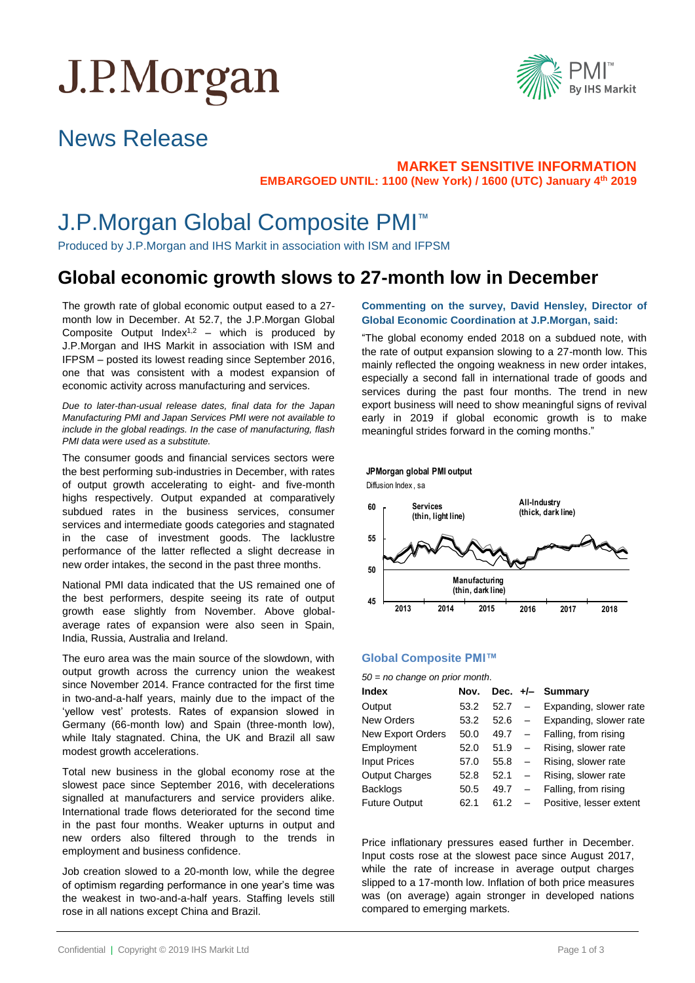# J.P.Morgan



### News Release

#### **MARKET SENSITIVE INFORMATION EMBARGOED UNTIL: 1100 (New York) / 1600 (UTC) January 4th 2019**

### J.P.Morgan Global Composite PMI™

Produced by J.P.Morgan and IHS Markit in association with ISM and IFPSM

### **Global economic growth slows to 27-month low in December**

 month low in December. At 52.7, the J.P.Morgan Global The growth rate of global economic output eased to a 27- Composite Output Index<sup>1,2</sup> – which is produced by J.P.Morgan and IHS Markit in association with ISM and IFPSM – posted its lowest reading since September 2016, one that was consistent with a modest expansion of economic activity across manufacturing and services.

*Due to later-than-usual release dates, final data for the Japan Manufacturing PMI and Japan Services PMI were not available to include in the global readings. In the case of manufacturing, flash PMI data were used as a substitute.*

The consumer goods and financial services sectors were the best performing sub-industries in December, with rates of output growth accelerating to eight- and five-month highs respectively. Output expanded at comparatively subdued rates in the business services, consumer services and intermediate goods categories and stagnated in the case of investment goods. The lacklustre performance of the latter reflected a slight decrease in new order intakes, the second in the past three months.

National PMI data indicated that the US remained one of the best performers, despite seeing its rate of output growth ease slightly from November. Above globalaverage rates of expansion were also seen in Spain, India, Russia, Australia and Ireland.

The euro area was the main source of the slowdown, with output growth across the currency union the weakest since November 2014. France contracted for the first time in two-and-a-half years, mainly due to the impact of the 'yellow vest' protests. Rates of expansion slowed in Germany (66-month low) and Spain (three-month low), while Italy stagnated. China, the UK and Brazil all saw modest growth accelerations.

Total new business in the global economy rose at the slowest pace since September 2016, with decelerations signalled at manufacturers and service providers alike. International trade flows deteriorated for the second time in the past four months. Weaker upturns in output and new orders also filtered through to the trends in employment and business confidence.

Job creation slowed to a 20-month low, while the degree of optimism regarding performance in one year's time was the weakest in two-and-a-half years. Staffing levels still rose in all nations except China and Brazil.

#### **Commenting on the survey, David Hensley, Director of Global Economic Coordination at J.P.Morgan, said:**

"The global economy ended 2018 on a subdued note, with the rate of output expansion slowing to a 27-month low. This mainly reflected the ongoing weakness in new order intakes, especially a second fall in international trade of goods and services during the past four months. The trend in new export business will need to show meaningful signs of revival early in 2019 if global economic growth is to make meaningful strides forward in the coming months."

## **JPMorgan global PMI output<br>Diffusion Index , sa**



#### **Global Composite PMI™**

#### *50 = no change on prior month*.

| Index                    | Nov. |      |                          | Dec. +/- Summary        |
|--------------------------|------|------|--------------------------|-------------------------|
| Output                   | 53.2 | 52.7 | $\overline{\phantom{0}}$ | Expanding, slower rate  |
| <b>New Orders</b>        | 53.2 | 52.6 | $-$                      | Expanding, slower rate  |
| <b>New Export Orders</b> | 50.0 | 49.7 | $\frac{1}{2}$            | Falling, from rising    |
| Employment               | 52.0 | 51.9 | $-$                      | Rising, slower rate     |
| <b>Input Prices</b>      | 57.0 | 55.8 | $-$                      | Rising, slower rate     |
| <b>Output Charges</b>    | 52.8 | 52.1 | $\equiv$                 | Rising, slower rate     |
| <b>Backlogs</b>          | 50.5 | 49.7 | $\equiv$                 | Falling, from rising    |
| <b>Future Output</b>     | 62.1 | 61.2 |                          | Positive, lesser extent |

Price inflationary pressures eased further in December. Input costs rose at the slowest pace since August 2017, while the rate of increase in average output charges slipped to a 17-month low. Inflation of both price measures was (on average) again stronger in developed nations compared to emerging markets.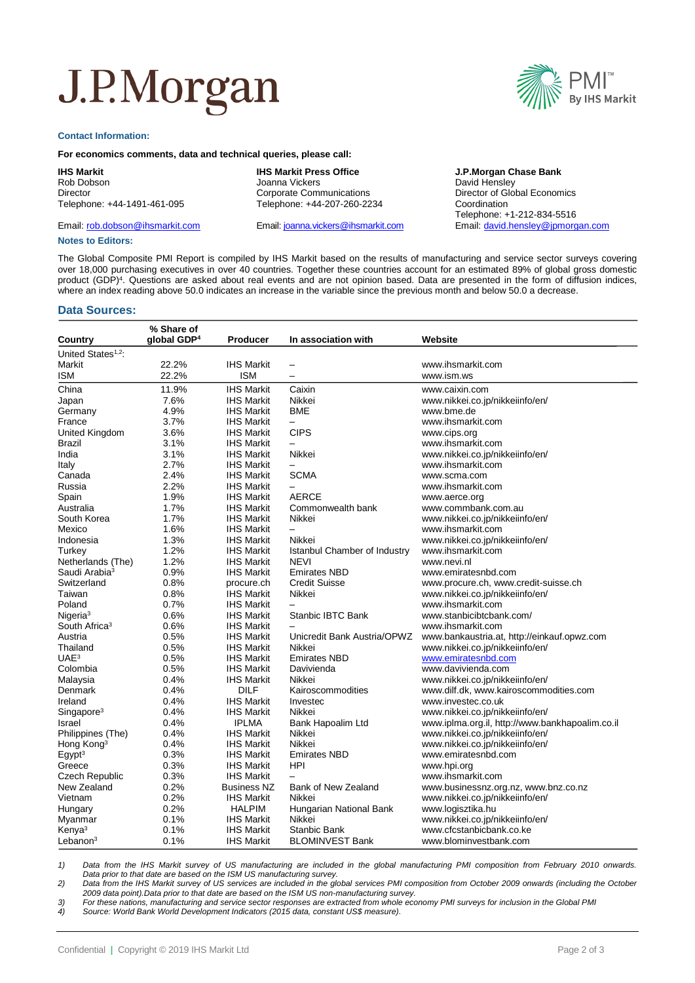## J.P.Morgan

#### **Contact Information:**

#### **For economics comments, data and technical queries, please call:**

#### **IHS Markit**

Rob Dobson Director Telephone: +44-1491-461-095

Email: [rob.dobson@ihsmarkit.com](mailto:rob.dobson@ihsmarkit.com)

#### **IHS Markit Press Office**

Joanna Vickers Corporate Communications Telephone: +44-207-260-2234

Email[: joanna.vickers@ihsmarkit.com](mailto:joanna.vickers@ihsmarkit.com)

#### **J.P.Morgan Chase Bank** David Hensley Director of Global Economics Coordination Telephone: +1-212-834-5516 Email[: david.hensley@jpmorgan.com](mailto:david.hensley@jpmorgan.com)

**Notes to Editors:**

The Global Composite PMI Report is compiled by IHS Markit based on the results of manufacturing and service sector surveys covering over 18,000 purchasing executives in over 40 countries. Together these countries account for an estimated 89% of global gross domestic product (GDP)<sup>4</sup>. Questions are asked about real events and are not opinion based. Data are presented in the form of diffusion indices, where an index reading above 50.0 indicates an increase in the variable since the previous month and below 50.0 a decrease.

#### **Data Sources:**

| % Share of                     |                         |                    |                              |                                                 |  |
|--------------------------------|-------------------------|--------------------|------------------------------|-------------------------------------------------|--|
| Country                        | qlobal GDP <sup>4</sup> | <b>Producer</b>    | In association with          | Website                                         |  |
| United States <sup>1,2</sup> : |                         |                    |                              |                                                 |  |
| Markit                         | 22.2%                   | <b>IHS Markit</b>  | $\overline{\phantom{m}}$     | www.ihsmarkit.com                               |  |
| ISM                            | 22.2%                   | ISM                | $\overline{\phantom{0}}$     | www.ism.ws                                      |  |
| China                          | 11.9%                   | IHS Markit         | Caixin                       | www.caixin.com                                  |  |
| Japan                          | 7.6%                    | <b>IHS Markit</b>  | Nikkei                       | www.nikkei.co.jp/nikkeiinfo/en/                 |  |
| Germany                        | 4.9%                    | <b>IHS Markit</b>  | <b>BME</b>                   | www.bme.de                                      |  |
| France                         | 3.7%                    | <b>IHS Markit</b>  |                              | www.ihsmarkit.com                               |  |
| United Kingdom                 | 3.6%                    | <b>IHS Markit</b>  | <b>CIPS</b>                  | www.cips.org                                    |  |
| Brazil                         | 3.1%                    | <b>IHS Markit</b>  |                              | www.ihsmarkit.com                               |  |
| India                          | 3.1%                    | <b>IHS Markit</b>  | Nikkei                       | www.nikkei.co.jp/nikkeiinfo/en/                 |  |
|                                |                         |                    |                              |                                                 |  |
| Italy                          | 2.7%                    | <b>IHS Markit</b>  | $\overline{\phantom{m}}$     | www.ihsmarkit.com                               |  |
| Canada                         | 2.4%                    | <b>IHS Markit</b>  | <b>SCMA</b>                  | www.scma.com                                    |  |
| Russia                         | 2.2%                    | <b>IHS Markit</b>  | $\overline{\phantom{0}}$     | www.ihsmarkit.com                               |  |
| Spain                          | 1.9%                    | <b>IHS Markit</b>  | <b>AERCE</b>                 | www.aerce.org                                   |  |
| Australia                      | 1.7%                    | <b>IHS Markit</b>  | Commonwealth bank            | www.commbank.com.au                             |  |
| South Korea                    | 1.7%                    | <b>IHS Markit</b>  | Nikkei                       | www.nikkei.co.jp/nikkeiinfo/en/                 |  |
| Mexico                         | 1.6%                    | <b>IHS Markit</b>  | $\overline{\phantom{m}}$     | www.ihsmarkit.com                               |  |
| Indonesia                      | 1.3%                    | <b>IHS Markit</b>  | Nikkei                       | www.nikkei.co.jp/nikkeiinfo/en/                 |  |
| Turkey                         | 1.2%                    | <b>IHS Markit</b>  | Istanbul Chamber of Industry | www.ihsmarkit.com                               |  |
| Netherlands (The)              | 1.2%                    | <b>IHS Markit</b>  | <b>NEVI</b>                  | www.nevi.nl                                     |  |
| Saudi Arabia <sup>3</sup>      | 0.9%                    | <b>IHS Markit</b>  | <b>Emirates NBD</b>          | www.emiratesnbd.com                             |  |
| Switzerland                    | 0.8%                    | procure.ch         | <b>Credit Suisse</b>         | www.procure.ch, www.credit-suisse.ch            |  |
| Taiwan                         | 0.8%                    | <b>IHS Markit</b>  | Nikkei                       | www.nikkei.co.jp/nikkeiinfo/en/                 |  |
| Poland                         | 0.7%                    | <b>IHS Markit</b>  |                              | www.ihsmarkit.com                               |  |
| Nigeria <sup>3</sup>           | 0.6%                    | <b>IHS Markit</b>  | Stanbic IBTC Bank            | www.stanbicibtcbank.com/                        |  |
| South Africa <sup>3</sup>      | 0.6%                    | <b>IHS Markit</b>  |                              | www.ihsmarkit.com                               |  |
| Austria                        | 0.5%                    | <b>IHS Markit</b>  | Unicredit Bank Austria/OPWZ  | www.bankaustria.at, http://einkauf.opwz.com     |  |
| Thailand                       | 0.5%                    | <b>IHS Markit</b>  | Nikkei                       | www.nikkei.co.jp/nikkeiinfo/en/                 |  |
| UAE <sup>3</sup>               | 0.5%                    | <b>IHS Markit</b>  | <b>Emirates NBD</b>          | www.emiratesnbd.com                             |  |
| Colombia                       | 0.5%                    | <b>IHS Markit</b>  | Davivienda                   | www.davivienda.com                              |  |
| Malaysia                       | 0.4%                    | <b>IHS Markit</b>  | Nikkei                       | www.nikkei.co.jp/nikkeiinfo/en/                 |  |
| Denmark                        | 0.4%                    | <b>DILF</b>        | Kairoscommodities            | www.dilf.dk, www.kairoscommodities.com          |  |
| Ireland                        | 0.4%                    | <b>IHS Markit</b>  | Investec                     | www.investec.co.uk                              |  |
| Singapore <sup>3</sup>         | 0.4%                    | <b>IHS Markit</b>  | Nikkei                       | www.nikkei.co.jp/nikkeiinfo/en/                 |  |
|                                |                         | <b>IPLMA</b>       |                              |                                                 |  |
| Israel                         | 0.4%                    |                    | Bank Hapoalim Ltd<br>Nikkei  | www.iplma.org.il, http://www.bankhapoalim.co.il |  |
| Philippines (The)              | 0.4%                    | <b>IHS Markit</b>  |                              | www.nikkei.co.jp/nikkeiinfo/en/                 |  |
| Hong Kong <sup>3</sup>         | 0.4%                    | <b>IHS Markit</b>  | Nikkei                       | www.nikkei.co.jp/nikkeiinfo/en/                 |  |
| $E$ gypt $3$                   | 0.3%                    | <b>IHS Markit</b>  | <b>Emirates NBD</b>          | www.emiratesnbd.com                             |  |
| Greece                         | 0.3%                    | <b>IHS Markit</b>  | <b>HPI</b>                   | www.hpi.org                                     |  |
| <b>Czech Republic</b>          | 0.3%                    | <b>IHS Markit</b>  | $\equiv$                     | www.ihsmarkit.com                               |  |
| New Zealand                    | 0.2%                    | <b>Business NZ</b> | Bank of New Zealand          | www.businessnz.org.nz, www.bnz.co.nz            |  |
| Vietnam                        | 0.2%                    | <b>IHS Markit</b>  | Nikkei                       | www.nikkei.co.jp/nikkeiinfo/en/                 |  |
| Hungary                        | 0.2%                    | <b>HALPIM</b>      | Hungarian National Bank      | www.logisztika.hu                               |  |
| Myanmar                        | 0.1%                    | <b>IHS Markit</b>  | Nikkei                       | www.nikkei.co.jp/nikkeiinfo/en/                 |  |
| Kenya <sup>3</sup>             | 0.1%                    | <b>IHS Markit</b>  | Stanbic Bank                 | www.cfcstanbicbank.co.ke                        |  |
| Lebanon <sup>3</sup>           | 0.1%                    | IHS Markit         | <b>BLOMINVEST Bank</b>       | www.blominvestbank.com                          |  |

*1) Data from the IHS Markit survey of US manufacturing are included in the global manufacturing PMI composition from February 2010 onwards. Data prior to that date are based on the ISM US manufacturing survey.*

*2) Data from the IHS Markit survey of US services are included in the global services PMI composition from October 2009 onwards (including the October 2009 data point).Data prior to that date are based on the ISM US non-manufacturing survey.*

*3) For these nations, manufacturing and service sector responses are extracted from whole economy PMI surveys for inclusion in the Global PMI*

*4) Source: World Bank World Development Indicators (2015 data, constant US\$ measure).*